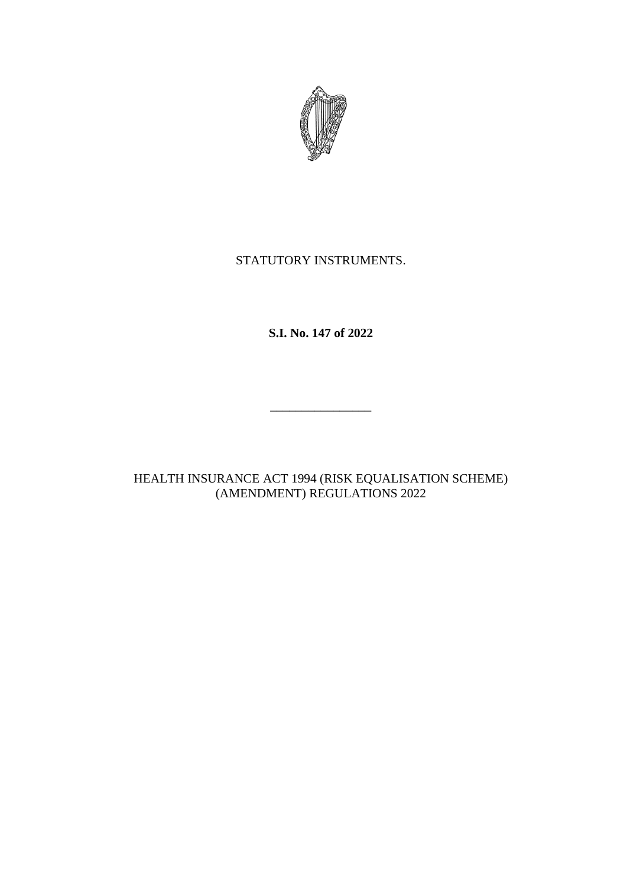

# STATUTORY INSTRUMENTS.

**S.I. No. 147 of 2022**

\_\_\_\_\_\_\_\_\_\_\_\_\_\_\_\_

HEALTH INSURANCE ACT 1994 (RISK EQUALISATION SCHEME) (AMENDMENT) REGULATIONS 2022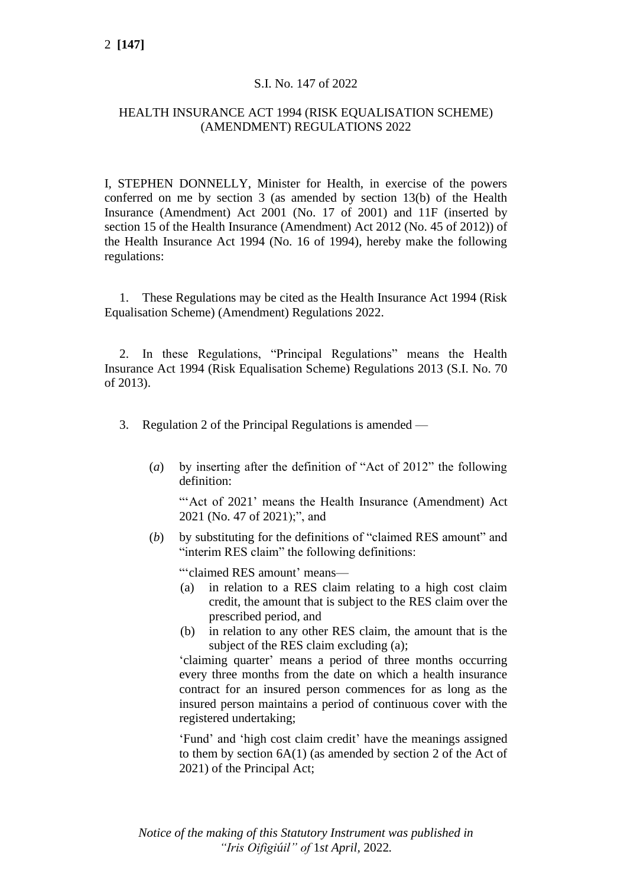### S.I. No. 147 of 2022

### HEALTH INSURANCE ACT 1994 (RISK EQUALISATION SCHEME) (AMENDMENT) REGULATIONS 2022

I, STEPHEN DONNELLY, Minister for Health, in exercise of the powers conferred on me by section 3 (as amended by section 13(b) of the Health Insurance (Amendment) Act 2001 (No. 17 of 2001) and 11F (inserted by section 15 of the Health Insurance (Amendment) Act 2012 (No. 45 of 2012)) of the Health Insurance Act 1994 (No. 16 of 1994), hereby make the following regulations:

1. These Regulations may be cited as the Health Insurance Act 1994 (Risk Equalisation Scheme) (Amendment) Regulations 2022.

2. In these Regulations, "Principal Regulations" means the Health Insurance Act 1994 (Risk Equalisation Scheme) Regulations 2013 (S.I. No. 70 of 2013).

- 3. Regulation 2 of the Principal Regulations is amended
	- (*a*) by inserting after the definition of "Act of 2012" the following definition:

"'Act of 2021' means the Health Insurance (Amendment) Act 2021 (No. 47 of 2021);", and

(*b*) by substituting for the definitions of "claimed RES amount" and "interim RES claim" the following definitions:

"'claimed RES amount' means—

- (a) in relation to a RES claim relating to a high cost claim credit, the amount that is subject to the RES claim over the prescribed period, and
- (b) in relation to any other RES claim, the amount that is the subject of the RES claim excluding (a);

'claiming quarter' means a period of three months occurring every three months from the date on which a health insurance contract for an insured person commences for as long as the insured person maintains a period of continuous cover with the registered undertaking;

'Fund' and 'high cost claim credit' have the meanings assigned to them by section 6A(1) (as amended by section 2 of the Act of 2021) of the Principal Act;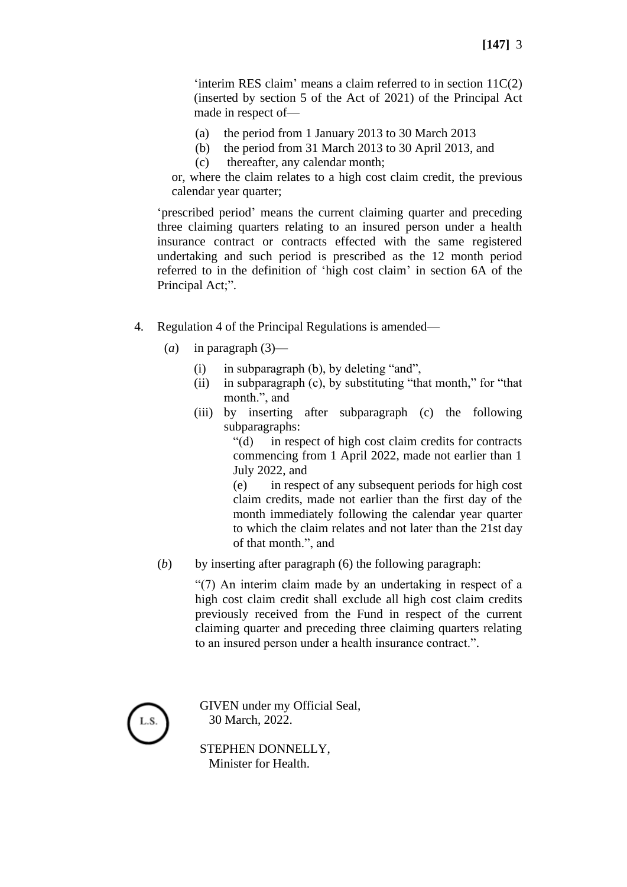'interim RES claim' means a claim referred to in section 11C(2) (inserted by section 5 of the Act of 2021) of the Principal Act made in respect of—

- (a) the period from 1 January 2013 to 30 March 2013
- (b) the period from 31 March 2013 to 30 April 2013, and
- (c) thereafter, any calendar month;

or, where the claim relates to a high cost claim credit, the previous calendar year quarter;

'prescribed period' means the current claiming quarter and preceding three claiming quarters relating to an insured person under a health insurance contract or contracts effected with the same registered undertaking and such period is prescribed as the 12 month period referred to in the definition of 'high cost claim' in section 6A of the Principal Act;".

- 4. Regulation 4 of the Principal Regulations is amended—
	- (*a*) in paragraph (3)—
		- (i) in subparagraph (b), by deleting "and",
		- (ii) in subparagraph (c), by substituting "that month," for "that month.", and
		- (iii) by inserting after subparagraph (c) the following subparagraphs:

"(d) in respect of high cost claim credits for contracts commencing from 1 April 2022, made not earlier than 1 July 2022, and

(e) in respect of any subsequent periods for high cost claim credits, made not earlier than the first day of the month immediately following the calendar year quarter to which the claim relates and not later than the 21st day of that month.", and

(*b*) by inserting after paragraph (6) the following paragraph:

"(7) An interim claim made by an undertaking in respect of a high cost claim credit shall exclude all high cost claim credits previously received from the Fund in respect of the current claiming quarter and preceding three claiming quarters relating to an insured person under a health insurance contract.".

L.S.

GIVEN under my Official Seal, 30 March, 2022.

STEPHEN DONNELLY, Minister for Health.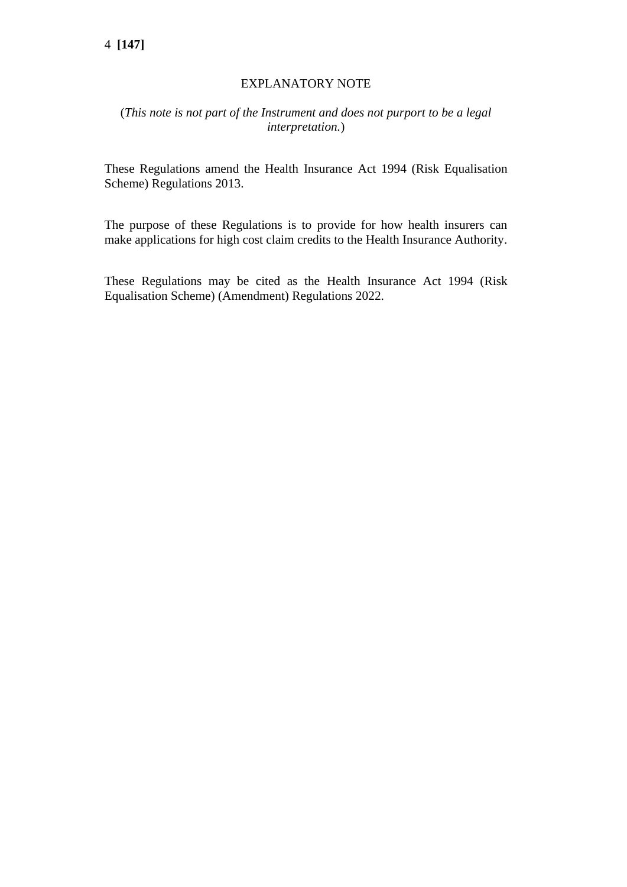## EXPLANATORY NOTE

## (*This note is not part of the Instrument and does not purport to be a legal interpretation.*)

These Regulations amend the Health Insurance Act 1994 (Risk Equalisation Scheme) Regulations 2013.

The purpose of these Regulations is to provide for how health insurers can make applications for high cost claim credits to the Health Insurance Authority.

These Regulations may be cited as the Health Insurance Act 1994 (Risk Equalisation Scheme) (Amendment) Regulations 2022.